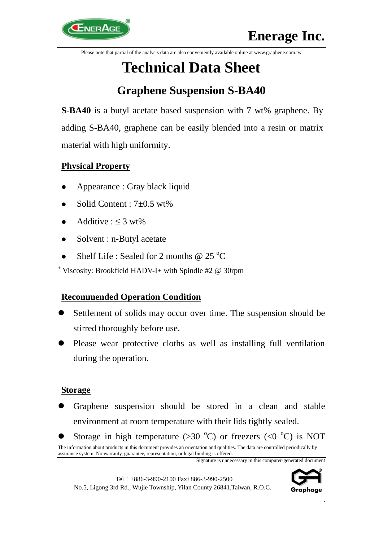Please note that partial of the analysis data are also conveniently available online at www.graphene.com.tw

# **Technical Data Sheet**

# **Graphene Suspension S-BA40**

**S-BA40** is a butyl acetate based suspension with 7 wt% graphene. By adding S-BA40, graphene can be easily blended into a resin or matrix material with high uniformity.

## **Physical Property**

- Appearance : Gray black liquid
- Solid Content : 7±0.5 wt%
- Additive :  $\leq 3$  wt%
- Solvent : n-Butyl acetate
- Shelf Life : Sealed for 2 months  $@$  25 °C

<sup>+</sup> Viscosity: Brookfield HADV-I+ with Spindle #2 @ 30rpm

#### **Recommended Operation Condition**

- Settlement of solids may occur over time. The suspension should be stirred thoroughly before use.
- Please wear protective cloths as well as installing full ventilation during the operation.

#### **Storage**

- Graphene suspension should be stored in a clean and stable environment at room temperature with their lids tightly sealed.
- The information about products in this document provides an orientation and qualities. The data are controlled periodically by Storage in high temperature ( $>30$  °C) or freezers ( $<0$  °C) is NOT



.

assurance system. No warranty, guarantee, representation, or legal binding is offered.

Signature is unnecessary in this computer-generated document